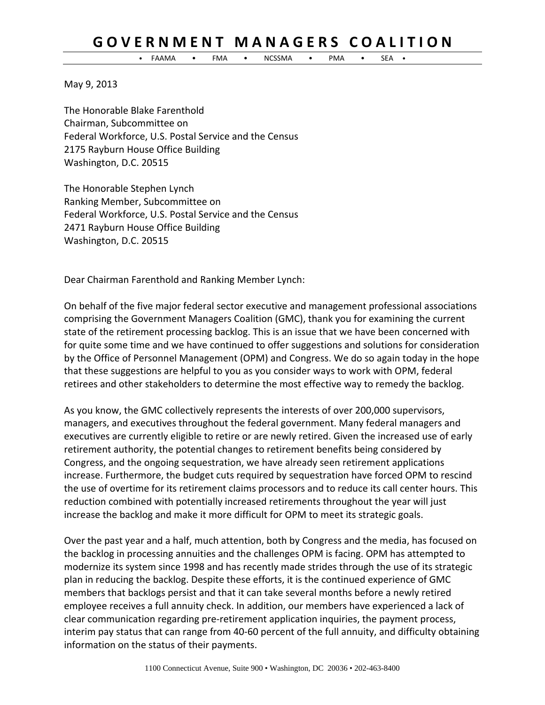• FAAMA • FMA • NCSSMA • PMA • SEA •

May 9, 2013

The Honorable Blake Farenthold Chairman, Subcommittee on Federal Workforce, U.S. Postal Service and the Census 2175 Rayburn House Office Building Washington, D.C. 20515

The Honorable Stephen Lynch Ranking Member, Subcommittee on Federal Workforce, U.S. Postal Service and the Census 2471 Rayburn House Office Building Washington, D.C. 20515

Dear Chairman Farenthold and Ranking Member Lynch:

On behalf of the five major federal sector executive and management professional associations comprising the Government Managers Coalition (GMC), thank you for examining the current state of the retirement processing backlog. This is an issue that we have been concerned with for quite some time and we have continued to offer suggestions and solutions for consideration by the Office of Personnel Management (OPM) and Congress. We do so again today in the hope that these suggestions are helpful to you as you consider ways to work with OPM, federal retirees and other stakeholders to determine the most effective way to remedy the backlog.

As you know, the GMC collectively represents the interests of over 200,000 supervisors, managers, and executives throughout the federal government. Many federal managers and executives are currently eligible to retire or are newly retired. Given the increased use of early retirement authority, the potential changes to retirement benefits being considered by Congress, and the ongoing sequestration, we have already seen retirement applications increase. Furthermore, the budget cuts required by sequestration have forced OPM to rescind the use of overtime for its retirement claims processors and to reduce its call center hours. This reduction combined with potentially increased retirements throughout the year will just increase the backlog and make it more difficult for OPM to meet its strategic goals.

Over the past year and a half, much attention, both by Congress and the media, has focused on the backlog in processing annuities and the challenges OPM is facing. OPM has attempted to modernize its system since 1998 and has recently made strides through the use of its strategic plan in reducing the backlog. Despite these efforts, it is the continued experience of GMC members that backlogs persist and that it can take several months before a newly retired employee receives a full annuity check. In addition, our members have experienced a lack of clear communication regarding pre‐retirement application inquiries, the payment process, interim pay status that can range from 40‐60 percent of the full annuity, and difficulty obtaining information on the status of their payments.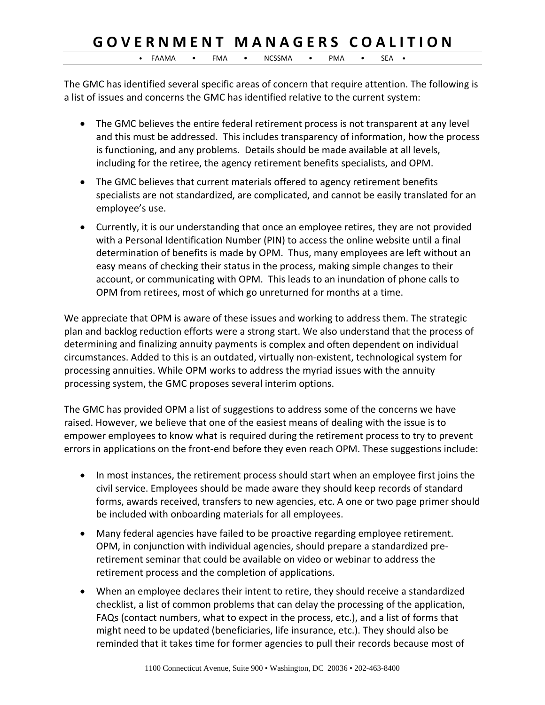• FAAMA • FMA • NCSSMA • PMA • SEA •

The GMC has identified several specific areas of concern that require attention. The following is a list of issues and concerns the GMC has identified relative to the current system:

- The GMC believes the entire federal retirement process is not transparent at any level and this must be addressed. This includes transparency of information, how the process is functioning, and any problems. Details should be made available at all levels, including for the retiree, the agency retirement benefits specialists, and OPM.
- The GMC believes that current materials offered to agency retirement benefits specialists are not standardized, are complicated, and cannot be easily translated for an employee's use.
- Currently, it is our understanding that once an employee retires, they are not provided with a Personal Identification Number (PIN) to access the online website until a final determination of benefits is made by OPM. Thus, many employees are left without an easy means of checking their status in the process, making simple changes to their account, or communicating with OPM. This leads to an inundation of phone calls to OPM from retirees, most of which go unreturned for months at a time.

We appreciate that OPM is aware of these issues and working to address them. The strategic plan and backlog reduction efforts were a strong start. We also understand that the process of determining and finalizing annuity payments is complex and often dependent on individual circumstances. Added to this is an outdated, virtually non‐existent, technological system for processing annuities. While OPM works to address the myriad issues with the annuity processing system, the GMC proposes several interim options.

The GMC has provided OPM a list of suggestions to address some of the concerns we have raised. However, we believe that one of the easiest means of dealing with the issue is to empower employees to know what is required during the retirement process to try to prevent errors in applications on the front-end before they even reach OPM. These suggestions include:

- In most instances, the retirement process should start when an employee first joins the civil service. Employees should be made aware they should keep records of standard forms, awards received, transfers to new agencies, etc. A one or two page primer should be included with onboarding materials for all employees.
- Many federal agencies have failed to be proactive regarding employee retirement. OPM, in conjunction with individual agencies, should prepare a standardized pre‐ retirement seminar that could be available on video or webinar to address the retirement process and the completion of applications.
- When an employee declares their intent to retire, they should receive a standardized checklist, a list of common problems that can delay the processing of the application, FAQs (contact numbers, what to expect in the process, etc.), and a list of forms that might need to be updated (beneficiaries, life insurance, etc.). They should also be reminded that it takes time for former agencies to pull their records because most of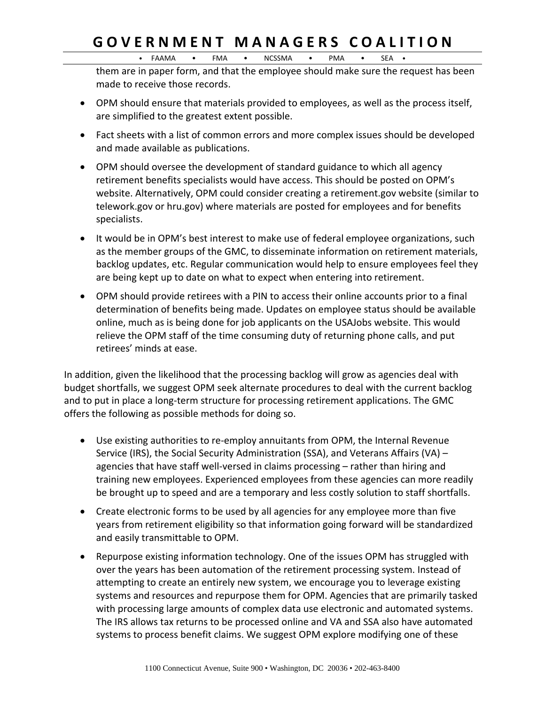$\bullet$  FAAMA  $\bullet$  FMA  $\bullet$  NCSSMA  $\bullet$  PMA  $\bullet$  SEA

them are in paper form, and that the employee should make sure the request has been made to receive those records.

- OPM should ensure that materials provided to employees, as well as the process itself, are simplified to the greatest extent possible.
- Fact sheets with a list of common errors and more complex issues should be developed and made available as publications.
- OPM should oversee the development of standard guidance to which all agency retirement benefits specialists would have access. This should be posted on OPM's website. Alternatively, OPM could consider creating a retirement.gov website (similar to telework.gov or hru.gov) where materials are posted for employees and for benefits specialists.
- It would be in OPM's best interest to make use of federal employee organizations, such as the member groups of the GMC, to disseminate information on retirement materials, backlog updates, etc. Regular communication would help to ensure employees feel they are being kept up to date on what to expect when entering into retirement.
- OPM should provide retirees with a PIN to access their online accounts prior to a final determination of benefits being made. Updates on employee status should be available online, much as is being done for job applicants on the USAJobs website. This would relieve the OPM staff of the time consuming duty of returning phone calls, and put retirees' minds at ease.

In addition, given the likelihood that the processing backlog will grow as agencies deal with budget shortfalls, we suggest OPM seek alternate procedures to deal with the current backlog and to put in place a long-term structure for processing retirement applications. The GMC offers the following as possible methods for doing so.

- Use existing authorities to re-employ annuitants from OPM, the Internal Revenue Service (IRS), the Social Security Administration (SSA), and Veterans Affairs (VA) – agencies that have staff well‐versed in claims processing – rather than hiring and training new employees. Experienced employees from these agencies can more readily be brought up to speed and are a temporary and less costly solution to staff shortfalls.
- Create electronic forms to be used by all agencies for any employee more than five years from retirement eligibility so that information going forward will be standardized and easily transmittable to OPM.
- Repurpose existing information technology. One of the issues OPM has struggled with over the years has been automation of the retirement processing system. Instead of attempting to create an entirely new system, we encourage you to leverage existing systems and resources and repurpose them for OPM. Agencies that are primarily tasked with processing large amounts of complex data use electronic and automated systems. The IRS allows tax returns to be processed online and VA and SSA also have automated systems to process benefit claims. We suggest OPM explore modifying one of these